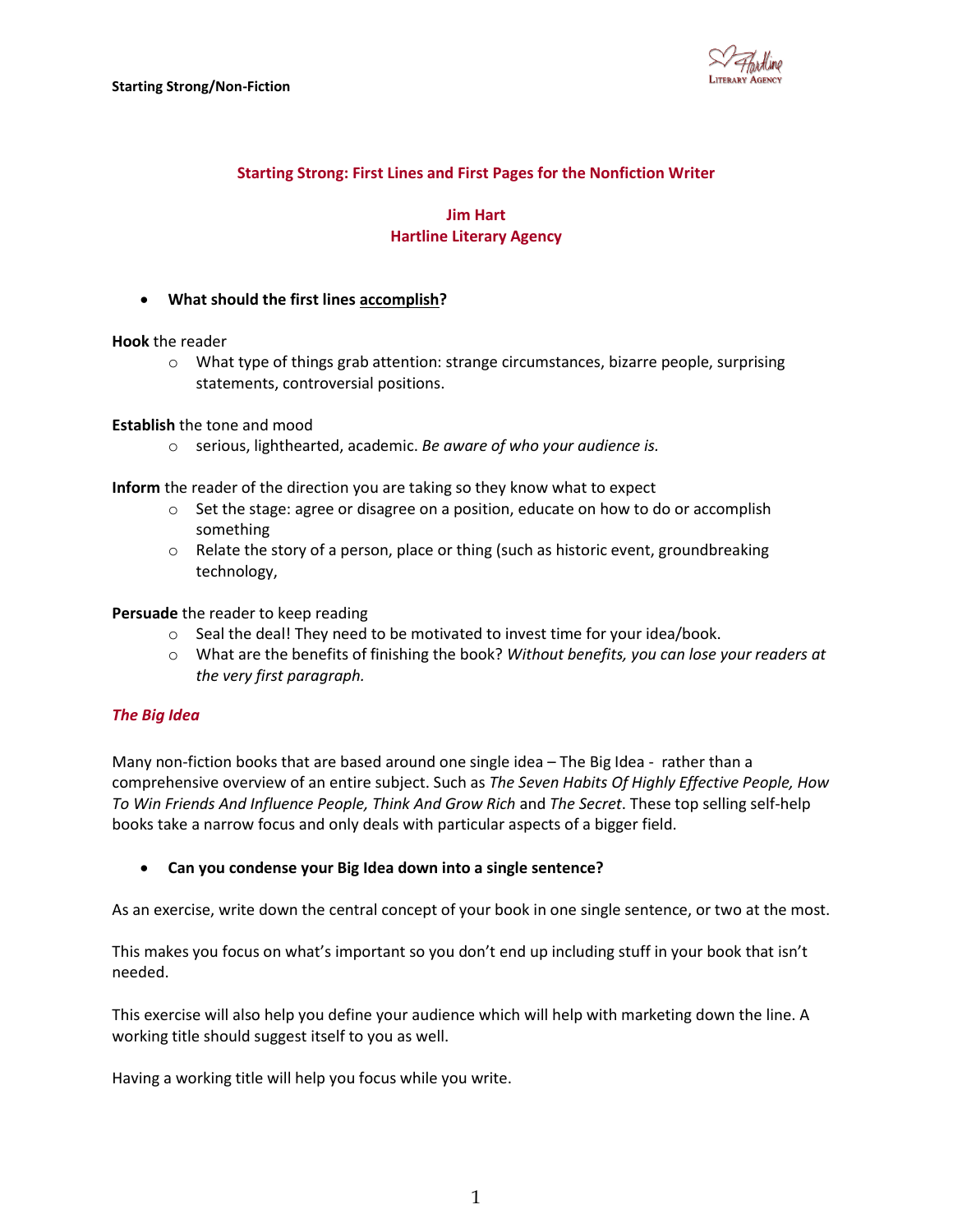

# **Starting Strong: First Lines and First Pages for the Nonfiction Writer**

## **Jim Hart Hartline Literary Agency**

**What should the first lines accomplish?**

**Hook** the reader

 $\circ$  What type of things grab attention: strange circumstances, bizarre people, surprising statements, controversial positions.

**Establish** the tone and mood

o serious, lighthearted, academic. *Be aware of who your audience is.*

**Inform** the reader of the direction you are taking so they know what to expect

- o Set the stage: agree or disagree on a position, educate on how to do or accomplish something
- $\circ$  Relate the story of a person, place or thing (such as historic event, groundbreaking technology,

**Persuade** the reader to keep reading

- $\circ$  Seal the deal! They need to be motivated to invest time for your idea/book.
- o What are the benefits of finishing the book? *Without benefits, you can lose your readers at the very first paragraph.*

## *The Big Idea*

Many non-fiction books that are based around one single idea – The Big Idea - rather than a comprehensive overview of an entire subject. Such as *The Seven Habits Of Highly Effective People, How To Win Friends And Influence People, Think And Grow Rich* and *The Secret*. These top selling self-help books take a narrow focus and only deals with particular aspects of a bigger field.

**Can you condense your Big Idea down into a single sentence?**

As an exercise, write down the central concept of your book in one single sentence, or two at the most.

This makes you focus on what's important so you don't end up including stuff in your book that isn't needed.

This exercise will also help you define your audience which will help with marketing down the line. A working title should suggest itself to you as well.

Having a working title will help you focus while you write.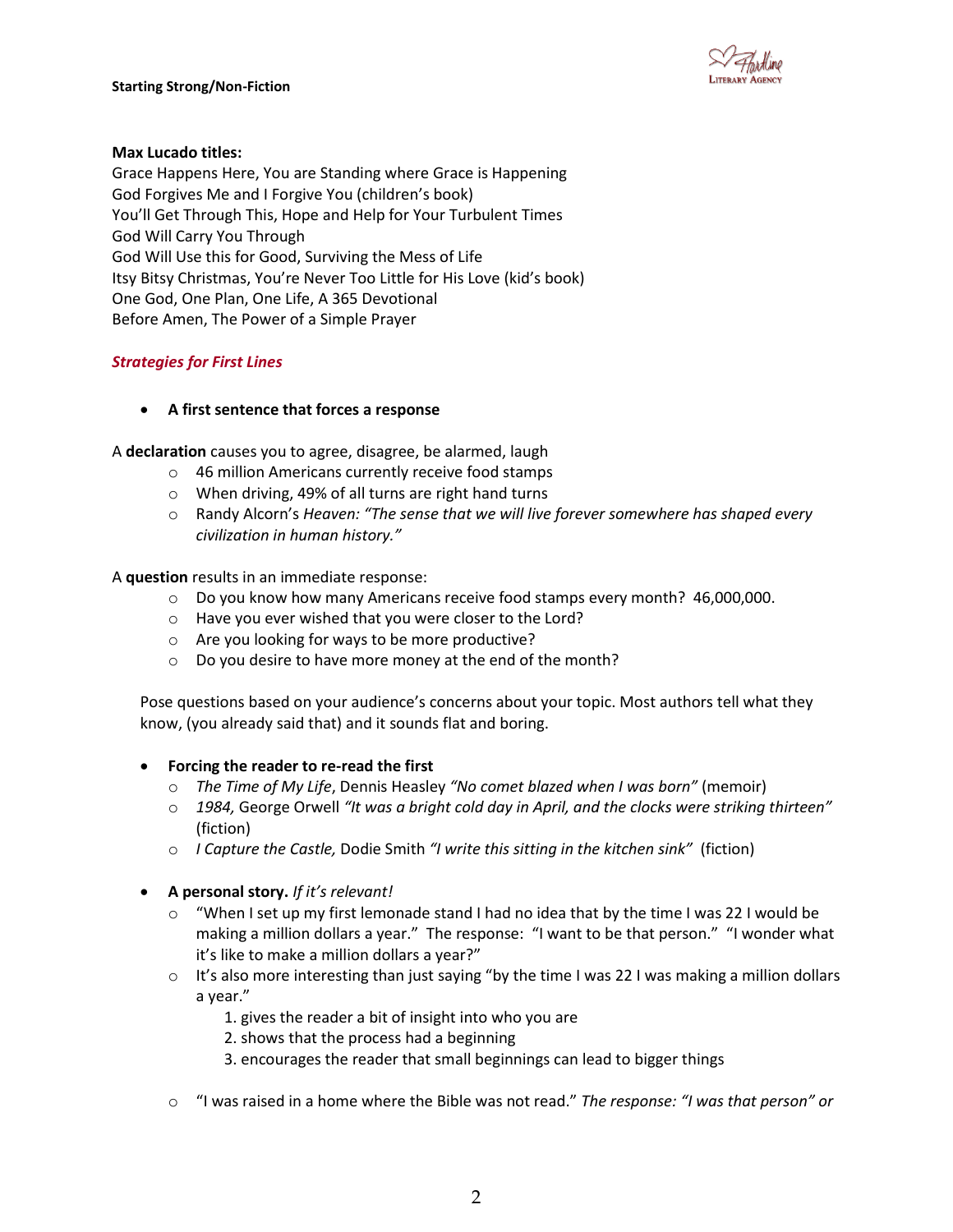

### **Max Lucado titles:**

Grace Happens Here, You are Standing where Grace is Happening God Forgives Me and I Forgive You (children's book) You'll Get Through This, Hope and Help for Your Turbulent Times God Will Carry You Through God Will Use this for Good, Surviving the Mess of Life Itsy Bitsy Christmas, You're Never Too Little for His Love (kid's book) One God, One Plan, One Life, A 365 Devotional Before Amen, The Power of a Simple Prayer

## *Strategies for First Lines*

## **A first sentence that forces a response**

A **declaration** causes you to agree, disagree, be alarmed, laugh

- o 46 million Americans currently receive food stamps
- o When driving, 49% of all turns are right hand turns
- o Randy Alcorn's *Heaven: "The sense that we will live forever somewhere has shaped every civilization in human history."*

A **question** results in an immediate response:

- o Do you know how many Americans receive food stamps every month? 46,000,000.
- o Have you ever wished that you were closer to the Lord?
- o Are you looking for ways to be more productive?
- o Do you desire to have more money at the end of the month?

Pose questions based on your audience's concerns about your topic. Most authors tell what they know, (you already said that) and it sounds flat and boring.

#### **Forcing the reader to re-read the first**

- o *The Time of My Life*, Dennis Heasley *"No comet blazed when I was born"* (memoir)
- o *1984,* George Orwell *"It was a bright cold day in April, and the clocks were striking thirteen"*  (fiction)
- o *I Capture the Castle,* Dodie Smith *"I write this sitting in the kitchen sink"* (fiction)
- **A personal story.** *If it's relevant!*
	- $\circ$  "When I set up my first lemonade stand I had no idea that by the time I was 22 I would be making a million dollars a year." The response: "I want to be that person." "I wonder what it's like to make a million dollars a year?"
	- $\circ$  It's also more interesting than just saying "by the time I was 22 I was making a million dollars a year."
		- 1. gives the reader a bit of insight into who you are
		- 2. shows that the process had a beginning
		- 3. encourages the reader that small beginnings can lead to bigger things
	- o "I was raised in a home where the Bible was not read." *The response: "I was that person" or*